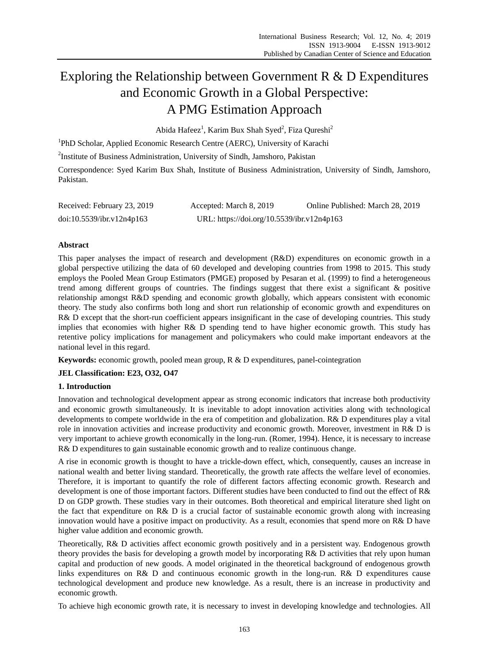# Exploring the Relationship between Government R & D Expenditures and Economic Growth in a Global Perspective: A PMG Estimation Approach

Abida Hafeez<sup>1</sup>, Karim Bux Shah Syed<sup>2</sup>, Fiza Qureshi<sup>2</sup>

<sup>1</sup>PhD Scholar, Applied Economic Research Centre (AERC), University of Karachi

<sup>2</sup>Institute of Business Administration, University of Sindh, Jamshoro, Pakistan

Correspondence: Syed Karim Bux Shah, Institute of Business Administration, University of Sindh, Jamshoro, Pakistan.

| Received: February 23, 2019 | Accepted: March 8, 2019                    | Online Published: March 28, 2019 |
|-----------------------------|--------------------------------------------|----------------------------------|
| doi:10.5539/ibr.v12n4p163   | URL: https://doi.org/10.5539/ibr.v12n4p163 |                                  |

## **Abstract**

This paper analyses the impact of research and development (R&D) expenditures on economic growth in a global perspective utilizing the data of 60 developed and developing countries from 1998 to 2015. This study employs the Pooled Mean Group Estimators (PMGE) proposed by Pesaran et al. (1999) to find a heterogeneous trend among different groups of countries. The findings suggest that there exist a significant & positive relationship amongst R&D spending and economic growth globally, which appears consistent with economic theory. The study also confirms both long and short run relationship of economic growth and expenditures on R& D except that the short-run coefficient appears insignificant in the case of developing countries. This study implies that economies with higher R& D spending tend to have higher economic growth. This study has retentive policy implications for management and policymakers who could make important endeavors at the national level in this regard.

**Keywords:** economic growth, pooled mean group, R & D expenditures, panel-cointegration

**JEL Classification: E23, O32, O47** 

# **1. Introduction**

Innovation and technological development appear as strong economic indicators that increase both productivity and economic growth simultaneously. It is inevitable to adopt innovation activities along with technological developments to compete worldwide in the era of competition and globalization. R& D expenditures play a vital role in innovation activities and increase productivity and economic growth. Moreover, investment in R& D is very important to achieve growth economically in the long-run. (Romer, 1994). Hence, it is necessary to increase R& D expenditures to gain sustainable economic growth and to realize continuous change.

A rise in economic growth is thought to have a trickle-down effect, which, consequently, causes an increase in national wealth and better living standard. Theoretically, the growth rate affects the welfare level of economies. Therefore, it is important to quantify the role of different factors affecting economic growth. Research and development is one of those important factors. Different studies have been conducted to find out the effect of R& D on GDP growth. These studies vary in their outcomes. Both theoretical and empirical literature shed light on the fact that expenditure on R& D is a crucial factor of sustainable economic growth along with increasing innovation would have a positive impact on productivity. As a result, economies that spend more on R& D have higher value addition and economic growth.

Theoretically, R& D activities affect economic growth positively and in a persistent way. Endogenous growth theory provides the basis for developing a growth model by incorporating R& D activities that rely upon human capital and production of new goods. A model originated in the theoretical background of endogenous growth links expenditures on R& D and continuous economic growth in the long-run. R& D expenditures cause technological development and produce new knowledge. As a result, there is an increase in productivity and economic growth.

To achieve high economic growth rate, it is necessary to invest in developing knowledge and technologies. All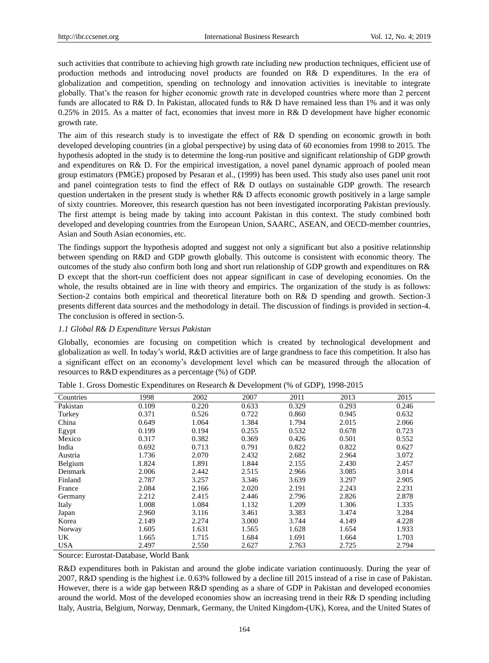such activities that contribute to achieving high growth rate including new production techniques, efficient use of production methods and introducing novel products are founded on R& D expenditures. In the era of globalization and competition, spending on technology and innovation activities is inevitable to integrate globally. That"s the reason for higher economic growth rate in developed countries where more than 2 percent funds are allocated to R& D. In Pakistan, allocated funds to R& D have remained less than 1% and it was only 0.25% in 2015. As a matter of fact, economies that invest more in R& D development have higher economic growth rate.

The aim of this research study is to investigate the effect of R& D spending on economic growth in both developed developing countries (in a global perspective) by using data of 60 economies from 1998 to 2015. The hypothesis adopted in the study is to determine the long-run positive and significant relationship of GDP growth and expenditures on R& D. For the empirical investigation, a novel panel dynamic approach of pooled mean group estimators (PMGE) proposed by Pesaran et al., (1999) has been used. This study also uses panel unit root and panel cointegration tests to find the effect of R& D outlays on sustainable GDP growth. The research question undertaken in the present study is whether R& D affects economic growth positively in a large sample of sixty countries. Moreover, this research question has not been investigated incorporating Pakistan previously. The first attempt is being made by taking into account Pakistan in this context. The study combined both developed and developing countries from the European Union, SAARC, ASEAN, and OECD-member countries, Asian and South Asian economies, etc.

The findings support the hypothesis adopted and suggest not only a significant but also a positive relationship between spending on R&D and GDP growth globally. This outcome is consistent with economic theory. The outcomes of the study also confirm both long and short run relationship of GDP growth and expenditures on R& D except that the short-run coefficient does not appear significant in case of developing economies. On the whole, the results obtained are in line with theory and empirics. The organization of the study is as follows: Section-2 contains both empirical and theoretical literature both on R& D spending and growth. Section-3 presents different data sources and the methodology in detail. The discussion of findings is provided in section-4. The conclusion is offered in section-5.

#### *1.1 Global R& D Expenditure Versus Pakistan*

Globally, economies are focusing on competition which is created by technological development and globalization as well. In today"s world, R&D activities are of large grandness to face this competition. It also has a significant effect on an economy's development level which can be measured through the allocation of resources to R&D expenditures as a percentage (%) of GDP.

| Countries  | 1998  | 2002  | 2007  | 2011  | 2013  | 2015  |
|------------|-------|-------|-------|-------|-------|-------|
| Pakistan   | 0.109 | 0.220 | 0.633 | 0.329 | 0.293 | 0.246 |
| Turkey     | 0.371 | 0.526 | 0.722 | 0.860 | 0.945 | 0.632 |
| China      | 0.649 | 1.064 | 1.384 | 1.794 | 2.015 | 2.066 |
| Egypt      | 0.199 | 0.194 | 0.255 | 0.532 | 0.678 | 0.723 |
| Mexico     | 0.317 | 0.382 | 0.369 | 0.426 | 0.501 | 0.552 |
| India      | 0.692 | 0.713 | 0.791 | 0.822 | 0.822 | 0.627 |
| Austria    | 1.736 | 2.070 | 2.432 | 2.682 | 2.964 | 3.072 |
| Belgium    | 1.824 | 1.891 | 1.844 | 2.155 | 2.430 | 2.457 |
| Denmark    | 2.006 | 2.442 | 2.515 | 2.966 | 3.085 | 3.014 |
| Finland    | 2.787 | 3.257 | 3.346 | 3.639 | 3.297 | 2.905 |
| France     | 2.084 | 2.166 | 2.020 | 2.191 | 2.243 | 2.231 |
| Germany    | 2.212 | 2.415 | 2.446 | 2.796 | 2.826 | 2.878 |
| Italy      | 1.008 | 1.084 | 1.132 | 1.209 | 1.306 | 1.335 |
| Japan      | 2.960 | 3.116 | 3.461 | 3.383 | 3.474 | 3.284 |
| Korea      | 2.149 | 2.274 | 3.000 | 3.744 | 4.149 | 4.228 |
| Norway     | 1.605 | 1.631 | 1.565 | 1.628 | 1.654 | 1.933 |
| <b>UK</b>  | 1.665 | 1.715 | 1.684 | 1.691 | 1.664 | 1.703 |
| <b>USA</b> | 2.497 | 2.550 | 2.627 | 2.763 | 2.725 | 2.794 |

| Table 1. Gross Domestic Expenditures on Research & Development (% of GDP), 1998-2015 |  |  |  |  |
|--------------------------------------------------------------------------------------|--|--|--|--|
|                                                                                      |  |  |  |  |

Source: Eurostat-Database, World Bank

R&D expenditures both in Pakistan and around the globe indicate variation continuously. During the year of 2007, R&D spending is the highest i.e. 0.63% followed by a decline till 2015 instead of a rise in case of Pakistan. However, there is a wide gap between R&D spending as a share of GDP in Pakistan and developed economies around the world. Most of the developed economies show an increasing trend in their R& D spending including Italy, Austria, Belgium, Norway, Denmark, Germany, the United Kingdom-(UK), Korea, and the United States of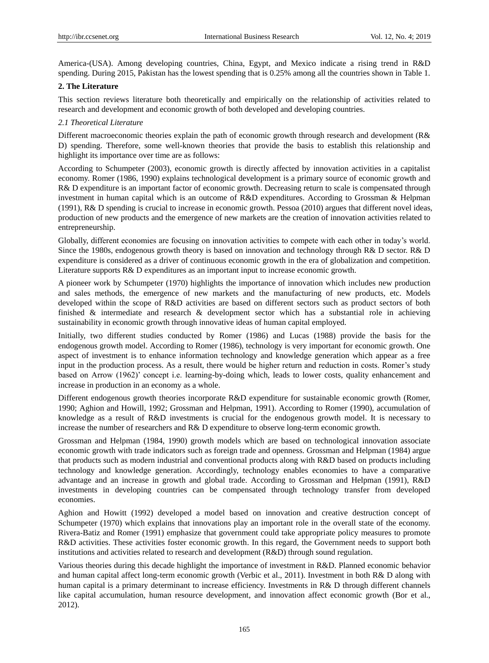America-(USA). Among developing countries, China, Egypt, and Mexico indicate a rising trend in R&D spending. During 2015, Pakistan has the lowest spending that is 0.25% among all the countries shown in Table 1.

# **2. The Literature**

This section reviews literature both theoretically and empirically on the relationship of activities related to research and development and economic growth of both developed and developing countries.

## *2.1 Theoretical Literature*

Different macroeconomic theories explain the path of economic growth through research and development (R& D) spending. Therefore, some well-known theories that provide the basis to establish this relationship and highlight its importance over time are as follows:

According to Schumpeter (2003), economic growth is directly affected by innovation activities in a capitalist economy. Romer (1986, 1990) explains technological development is a primary source of economic growth and R& D expenditure is an important factor of economic growth. Decreasing return to scale is compensated through investment in human capital which is an outcome of R&D expenditures. According to Grossman & Helpman (1991), R& D spending is crucial to increase in economic growth. Pessoa (2010) argues that different novel ideas, production of new products and the emergence of new markets are the creation of innovation activities related to entrepreneurship.

Globally, different economies are focusing on innovation activities to compete with each other in today"s world. Since the 1980s, endogenous growth theory is based on innovation and technology through R& D sector. R& D expenditure is considered as a driver of continuous economic growth in the era of globalization and competition. Literature supports R& D expenditures as an important input to increase economic growth.

A pioneer work by Schumpeter (1970) highlights the importance of innovation which includes new production and sales methods, the emergence of new markets and the manufacturing of new products, etc. Models developed within the scope of R&D activities are based on different sectors such as product sectors of both finished & intermediate and research & development sector which has a substantial role in achieving sustainability in economic growth through innovative ideas of human capital employed.

Initially, two different studies conducted by Romer (1986) and Lucas (1988) provide the basis for the endogenous growth model. According to Romer (1986), technology is very important for economic growth. One aspect of investment is to enhance information technology and knowledge generation which appear as a free input in the production process. As a result, there would be higher return and reduction in costs. Romer's study based on Arrow (1962)" concept i.e. learning-by-doing which, leads to lower costs, quality enhancement and increase in production in an economy as a whole.

Different endogenous growth theories incorporate R&D expenditure for sustainable economic growth (Romer, 1990; Aghion and Howill, 1992; Grossman and Helpman, 1991). According to Romer (1990), accumulation of knowledge as a result of R&D investments is crucial for the endogenous growth model. It is necessary to increase the number of researchers and R& D expenditure to observe long-term economic growth.

Grossman and Helpman (1984, 1990) growth models which are based on technological innovation associate economic growth with trade indicators such as foreign trade and openness. Grossman and Helpman (1984) argue that products such as modern industrial and conventional products along with R&D based on products including technology and knowledge generation. Accordingly, technology enables economies to have a comparative advantage and an increase in growth and global trade. According to Grossman and Helpman (1991), R&D investments in developing countries can be compensated through technology transfer from developed economies.

Aghion and Howitt (1992) developed a model based on innovation and creative destruction concept of Schumpeter (1970) which explains that innovations play an important role in the overall state of the economy. Rivera-Batiz and Romer (1991) emphasize that government could take appropriate policy measures to promote R&D activities. These activities foster economic growth. In this regard, the Government needs to support both institutions and activities related to research and development (R&D) through sound regulation.

Various theories during this decade highlight the importance of investment in R&D. Planned economic behavior and human capital affect long-term economic growth (Verbic et al., 2011). Investment in both R& D along with human capital is a primary determinant to increase efficiency. Investments in R& D through different channels like capital accumulation, human resource development, and innovation affect economic growth (Bor et al., 2012).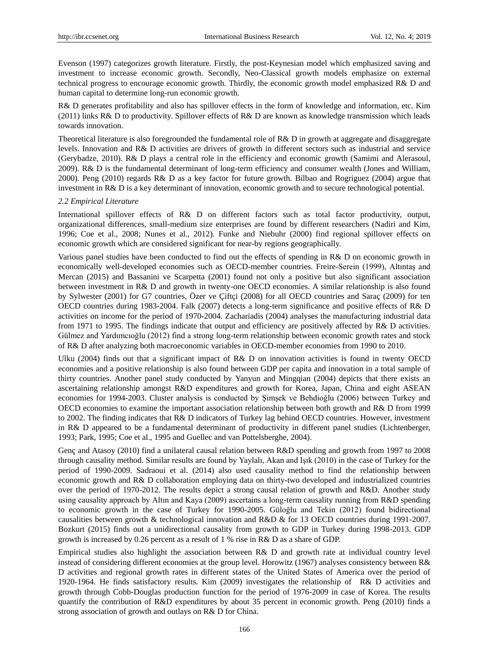Evenson (1997) categorizes growth literature. Firstly, the post-Keynesian model which emphasized saving and investment to increase economic growth. Secondly, Neo-Classical growth models emphasize on external technical progress to encourage economic growth. Thirdly, the economic growth model emphasized R& D and human capital to determine long-run economic growth.

R& D generates profitability and also has spillover effects in the form of knowledge and information, etc. Kim (2011) links R& D to productivity. Spillover effects of R& D are known as knowledge transmission which leads towards innovation.

Theoretical literature is also foregrounded the fundamental role of  $R\&D$  in growth at aggregate and disaggregate levels. Innovation and R& D activities are drivers of growth in different sectors such as industrial and service (Gerybadze, 2010). R& D plays a central role in the efficiency and economic growth (Samimi and Alerasoul, 2009). R& D is the fundamental determinant of long-term efficiency and consumer wealth (Jones and William, 2000). Peng (2010) regards R& D as a key factor for future growth. Bilbao and Rogriguez (2004) argue that investment in R& D is a key determinant of innovation, economic growth and to secure technological potential.

## *2.2 Empirical Literature*

International spillover effects of R& D on different factors such as total factor productivity, output, organizational differences, small-medium size enterprises are found by different researchers (Nadiri and Kim, 1996; Coe et al., 2008; Nunes et al., 2012). Funke and Niebuhr (2000) find regional spillover effects on economic growth which are considered significant for near-by regions geographically.

Various panel studies have been conducted to find out the effects of spending in R& D on economic growth in economically well-developed economies such as OECD-member countries. Freire-Serein (1999), Altıntaş and Mercan (2015) and Bassanini ve Scarpetta (2001) found not only a positive but also significant association between investment in R& D and growth in twenty-one OECD economies. A similar relationship is also found by Sylwester (2001) for G7 countries, Özer ve Cift of (2008) for all OECD countries and Sarac (2009) for ten OECD countries during 1983-2004. Falk (2007) detects a long-term significance and positive effects of R& D activities on income for the period of 1970-2004. Zachariadis (2004) analyses the manufacturing industrial data from 1971 to 1995. The findings indicate that output and efficiency are positively affected by R& D activities. Gülmez and Yardımcıoğlu (2012) find a strong long-term relationship between economic growth rates and stock of R& D after analyzing both macroeconomic variables in OECD-member economies from 1990 to 2010.

Ulku (2004) finds out that a significant impact of R& D on innovation activities is found in twenty OECD economies and a positive relationship is also found between GDP per capita and innovation in a total sample of thirty countries. Another panel study conducted by Yanyun and Mingqian (2004) depicts that there exists an ascertaining relationship amongst R&D expenditures and growth for Korea, Japan, China and eight ASEAN economies for 1994-2003. Cluster analysis is conducted by Şimşek ve Behdioğlu (2006) between Turkey and OECD economies to examine the important association relationship between both growth and R& D from 1999 to 2002. The finding indicates that R& D indicators of Turkey lag behind OECD countries. However, investment in R& D appeared to be a fundamental determinant of productivity in different panel studies (Lichtenberger, 1993; Park, 1995; Coe et al., 1995 and Guellec and van Pottelsberghe, 2004).

Genç and Atasoy (2010) find a unilateral causal relation between R&D spending and growth from 1997 to 2008 through causality method. Similar results are found by Yaylalı, Akan and Işık (2010) in the case of Turkey for the period of 1990-2009. Sadraoui et al. (2014) also used causality method to find the relationship between economic growth and R& D collaboration employing data on thirty-two developed and industrialized countries over the period of 1970-2012. The results depict a strong causal relation of growth and R&D. Another study using causality approach by Altın and Kaya (2009) ascertains a long-term causality running from R&D spending to economic growth in the case of Turkey for 1990-2005. Güloğlu and Tekin (2012) found bidirectional causalities between growth & technological innovation and R&D & for 13 OECD countries during 1991-2007. Bozkurt (2015) finds out a unidirectional causality from growth to GDP in Turkey during 1998-2013. GDP growth is increased by 0.26 percent as a result of 1 % rise in R& D as a share of GDP.

Empirical studies also highlight the association between R& D and growth rate at individual country level instead of considering different economies at the group level. Horowitz (1967) analyses consistency between R& D activities and regional growth rates in different states of the United States of America over the period of 1920-1964. He finds satisfactory results. Kim (2009) investigates the relationship of R& D activities and growth through Cobb-Douglas production function for the period of 1976-2009 in case of Korea. The results quantify the contribution of R&D expenditures by about 35 percent in economic growth. Peng (2010) finds a strong association of growth and outlays on R& D for China.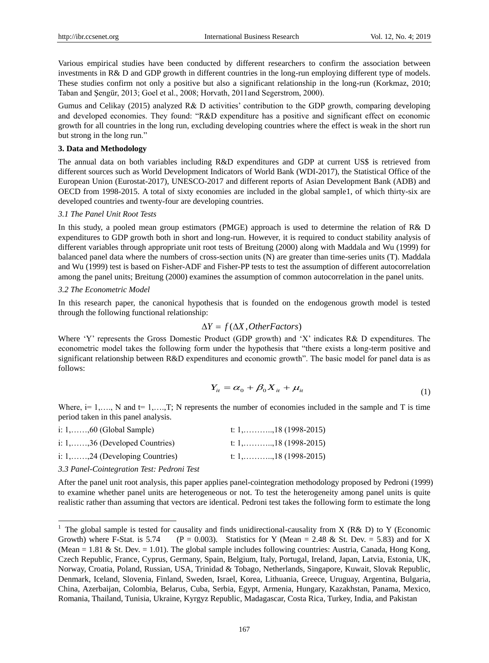Various empirical studies have been conducted by different researchers to confirm the association between investments in R& D and GDP growth in different countries in the long-run employing different type of models. These studies confirm not only a positive but also a significant relationship in the long-run (Korkmaz, 2010; Taban and Şengür, 2013; Goel et al., 2008; Horvath, 2011and Segerstrom, 2000).

Gumus and Celikay (2015) analyzed R& D activities" contribution to the GDP growth, comparing developing and developed economies. They found: "R&D expenditure has a positive and significant effect on economic growth for all countries in the long run, excluding developing countries where the effect is weak in the short run but strong in the long run."

### **3. Data and Methodology**

The annual data on both variables including R&D expenditures and GDP at current US\$ is retrieved from different sources such as World Development Indicators of World Bank (WDI-2017), the Statistical Office of the European Union (Eurostat-2017), UNESCO-2017 and different reports of Asian Development Bank (ADB) and OECD from 1998-2015. A total of sixty economies are included in the global sample1, of which thirty-six are developed countries and twenty-four are developing countries.

### *3.1 The Panel Unit Root Tests*

In this study, a pooled mean group estimators (PMGE) approach is used to determine the relation of R& D expenditures to GDP growth both in short and long-run. However, it is required to conduct stability analysis of different variables through appropriate unit root tests of Breitung (2000) along with Maddala and Wu (1999) for balanced panel data where the numbers of cross-section units (N) are greater than time-series units (T). Maddala and Wu (1999) test is based on Fisher-ADF and Fisher-PP tests to test the assumption of different autocorrelation among the panel units; Breitung (2000) examines the assumption of common autocorrelation in the panel units.

#### *3.2 The Econometric Model*

In this research paper, the canonical hypothesis that is founded on the endogenous growth model is tested through the following functional relationship:

## $\Delta Y = f(\Delta X, OtherFactors)$

Where 'Y' represents the Gross Domestic Product (GDP growth) and 'X' indicates R& D expenditures. The econometric model takes the following form under the hypothesis that "there exists a long-term positive and significant relationship between R&D expenditures and economic growth". The basic model for panel data is as follows:

$$
Y_{it} = \alpha_0 + \beta_0 X_{it} + \mu_{it} \tag{1}
$$

Where, i= 1,…., N and t= 1,….,T; N represents the number of economies included in the sample and T is time period taken in this panel analysis.

| $i: 1, \ldots, 60$ (Global Sample)        | t: 1,18 (1998-2015)   |
|-------------------------------------------|-----------------------|
| i: $1, \ldots, 36$ (Developed Countries)  | t: 1,, 18 (1998-2015) |
| i: $1, \ldots, 24$ (Developing Countries) | t: 1,, 18 (1998-2015) |

*3.3 Panel-Cointegration Test: Pedroni Test*

-

After the panel unit root analysis, this paper applies panel-cointegration methodology proposed by Pedroni (1999) to examine whether panel units are heterogeneous or not. To test the heterogeneity among panel units is quite realistic rather than assuming that vectors are identical. Pedroni test takes the following form to estimate the long

<sup>&</sup>lt;sup>1</sup> The global sample is tested for causality and finds unidirectional-causality from X (R& D) to Y (Economic Growth) where F-Stat. is 5.74 (P = 0.003). Statistics for Y (Mean = 2.48 & St. Dev. = 5.83) and for X (Mean =  $1.81 \&$  St. Dev. =  $1.01$ ). The global sample includes following countries: Austria, Canada, Hong Kong, Czech Republic, France, Cyprus, Germany, Spain, Belgium, Italy, Portugal, Ireland, Japan, Latvia, Estonia, UK, Norway, Croatia, Poland, Russian, USA, Trinidad & Tobago, Netherlands, Singapore, Kuwait, Slovak Republic, Denmark, Iceland, Slovenia, Finland, Sweden, Israel, Korea, Lithuania, Greece, Uruguay, Argentina, Bulgaria, China, Azerbaijan, Colombia, Belarus, Cuba, Serbia, Egypt, Armenia, Hungary, Kazakhstan, Panama, Mexico, Romania, Thailand, Tunisia, Ukraine, Kyrgyz Republic, Madagascar, Costa Rica, Turkey, India, and Pakistan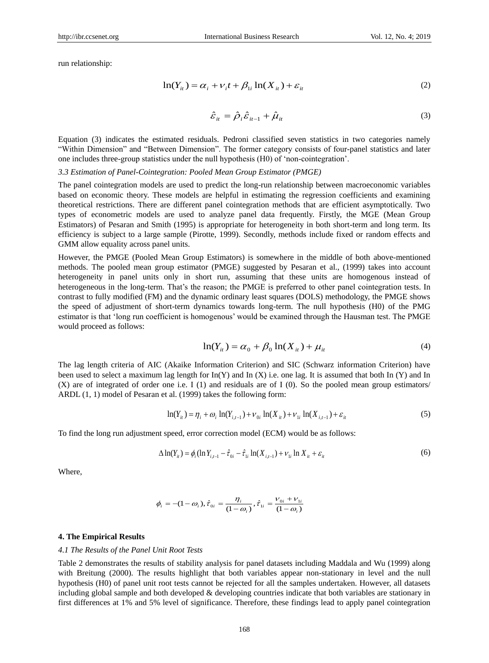run relationship:

$$
\ln(Y_{ii}) = \alpha_i + \nu_i t + \beta_{1i} \ln(X_{ii}) + \varepsilon_{ii}
$$
 (2)

$$
\hat{\varepsilon}_{it} = \hat{\rho}_i \hat{\varepsilon}_{it-1} + \hat{\mu}_{it} \tag{3}
$$

Equation (3) indicates the estimated residuals. Pedroni classified seven statistics in two categories namely "Within Dimension" and "Between Dimension". The former category consists of four-panel statistics and later one includes three-group statistics under the null hypothesis (H0) of "non-cointegration".

## *3.3 Estimation of Panel-Cointegration: Pooled Mean Group Estimator (PMGE)*

The panel cointegration models are used to predict the long-run relationship between macroeconomic variables based on economic theory. These models are helpful in estimating the regression coefficients and examining theoretical restrictions. There are different panel cointegration methods that are efficient asymptotically. Two types of econometric models are used to analyze panel data frequently. Firstly, the MGE (Mean Group Estimators) of Pesaran and Smith (1995) is appropriate for heterogeneity in both short-term and long term. Its efficiency is subject to a large sample (Pirotte, 1999). Secondly, methods include fixed or random effects and GMM allow equality across panel units.

However, the PMGE (Pooled Mean Group Estimators) is somewhere in the middle of both above-mentioned methods. The pooled mean group estimator (PMGE) suggested by Pesaran et al., (1999) takes into account heterogeneity in panel units only in short run, assuming that these units are homogenous instead of heterogeneous in the long-term. That's the reason; the PMGE is preferred to other panel cointegration tests. In contrast to fully modified (FM) and the dynamic ordinary least squares (DOLS) methodology, the PMGE shows the speed of adjustment of short-term dynamics towards long-term. The null hypothesis (H0) of the PMG estimator is that "long run coefficient is homogenous" would be examined through the Hausman test. The PMGE would proceed as follows:

$$
\ln(Y_{it}) = \alpha_0 + \beta_0 \ln(X_{it}) + \mu_{it} \tag{4}
$$

The lag length criteria of AIC (Akaike Information Criterion) and SIC (Schwarz information Criterion) have been used to select a maximum lag length for  $In(Y)$  and  $In(X)$  i.e. one lag. It is assumed that both  $In(Y)$  and  $In$ (X) are of integrated of order one i.e. I (1) and residuals are of I (0). So the pooled mean group estimators/ ARDL (1, 1) model of Pesaran et al. (1999) takes the following form:

$$
\ln(Y_{it}) = \eta_i + \omega_i \ln(Y_{i,t-1}) + \nu_{0i} \ln(X_{it}) + \nu_{1i} \ln(X_{i,t-1}) + \varepsilon_{it}
$$
\n(5)

To find the long run adjustment speed, error correction model (ECM) would be as follows:

$$
\Delta \ln(Y_{ii}) = \phi_i (\ln Y_{i,t-1} - \hat{\tau}_{0i} - \hat{\tau}_{1i} \ln(X_{i,t-1}) + \nu_{1i} \ln X_{it} + \varepsilon_{it})
$$
(6)

Where,

$$
\phi_i = -(1 - \omega_i), \hat{\tau}_{0i} = \frac{\eta_i}{(1 - \omega_i)}, \hat{\tau}_{1i} = \frac{V_{0i} + V_{1i}}{(1 - \omega_i)}
$$

#### **4. The Empirical Results**

#### *4.1 The Results of the Panel Unit Root Tests*

Table 2 demonstrates the results of stability analysis for panel datasets including Maddala and Wu (1999) along with Breitung (2000). The results highlight that both variables appear non-stationary in level and the null hypothesis (H0) of panel unit root tests cannot be rejected for all the samples undertaken. However, all datasets including global sample and both developed & developing countries indicate that both variables are stationary in first differences at 1% and 5% level of significance. Therefore, these findings lead to apply panel cointegration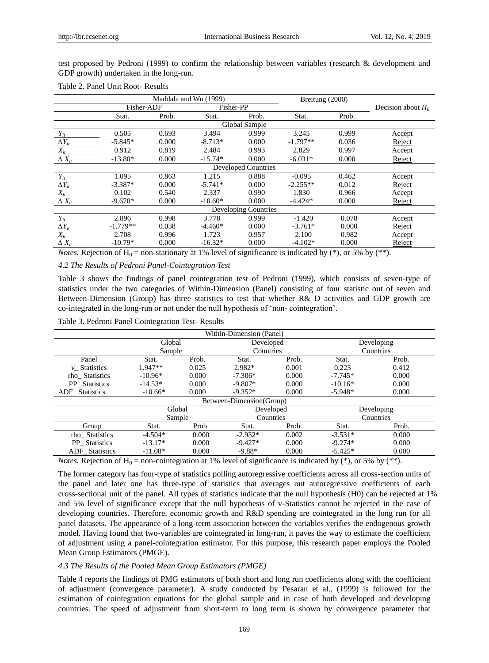| test proposed by Pedroni (1999) to confirm the relationship between variables (research & development and |  |  |  |  |  |  |
|-----------------------------------------------------------------------------------------------------------|--|--|--|--|--|--|
| GDP growth) undertaken in the long-run.                                                                   |  |  |  |  |  |  |

|                 |            | Maddala and Wu (1999) | Breitung (2000) |                            |            |       |                      |
|-----------------|------------|-----------------------|-----------------|----------------------------|------------|-------|----------------------|
|                 | Fisher-ADF |                       | Fisher-PP       |                            |            |       | Decision about $H_0$ |
|                 | Stat.      | Prob.                 | Stat.           | Prob.                      | Stat.      | Prob. |                      |
|                 |            |                       |                 | Global Sample              |            |       |                      |
| $Y_{it}$        | 0.505      | 0.693                 | 3.494           | 0.999                      | 3.245      | 0.999 | Accept               |
| $\Delta Y_{it}$ | $-5.845*$  | 0.000                 | $-8.713*$       | 0.000                      | $-1.797**$ | 0.036 | Reject               |
| $X_{it}$        | 0.912      | 0.819                 | 2.484           | 0.993                      | 2.829      | 0.997 | Accept               |
| $\Delta X_{it}$ | $-13.80*$  | 0.000                 | $-15.74*$       | 0.000                      | $-6.031*$  | 0.000 | Reject               |
|                 |            |                       |                 | <b>Developed Countries</b> |            |       |                      |
| $Y_{it}$        | 1.095      | 0.863                 | 1.215           | 0.888                      | $-0.095$   | 0.462 | Accept               |
| $\Delta Y_{it}$ | $-3.387*$  | 0.000                 | $-5.741*$       | 0.000                      | $-2.255**$ | 0.012 | Reject               |
| $X_{it}$        | 0.102      | 0.540                 | 2.337           | 0.990                      | 1.830      | 0.966 | Accept               |
| $\Delta X_{it}$ | $-9.670*$  | 0.000                 | $-10.60*$       | 0.000                      | $-4.424*$  | 0.000 | Reject               |
|                 |            |                       |                 | Developing Countries       |            |       |                      |
| $Y_{it}$        | 2.896      | 0.998                 | 3.778           | 0.999                      | $-1.420$   | 0.078 | Accept               |
| $\Delta Y_{it}$ | $-1.779**$ | 0.038                 | $-4.460*$       | 0.000                      | $-3.761*$  | 0.000 | Reject               |
| $X_{it}$        | 2.708      | 0.996                 | 1.723           | 0.957                      | 2.100      | 0.982 | Accept               |
| $\Delta X_{it}$ | $-10.79*$  | 0.000                 | $-16.32*$       | 0.000                      | $-4.102*$  | 0.000 | Reject               |

#### Table 2. Panel Unit Root- Results

*Notes.* Rejection of  $H_0$  = non-stationary at 1% level of significance is indicated by (\*), or 5% by (\*\*).

## *4.2 The Results of Pedroni Panel-Cointegration Test*

Table 3 shows the findings of panel cointegration test of Pedroni (1999), which consists of seven-type of statistics under the two categories of Within-Dimension (Panel) consisting of four statistic out of seven and Between-Dimension (Group) has three statistics to test that whether R& D activities and GDP growth are co-integrated in the long-run or not under the null hypothesis of "non- cointegration".

Table 3. Pedroni Panel Cointegration Test- Results

| Within-Dimension (Panel) |           |        |                          |       |            |            |  |  |
|--------------------------|-----------|--------|--------------------------|-------|------------|------------|--|--|
|                          | Global    |        | Developed                |       | Developing |            |  |  |
|                          | Sample    |        | Countries                |       | Countries  |            |  |  |
| Panel                    | Stat.     | Prob.  | Stat.                    | Prob. | Stat.      | Prob.      |  |  |
| $\nu$ Statistics         | $1.947**$ | 0.025  | 2.982*                   | 0.001 | 0.223      | 0.412      |  |  |
| rho Statistics           | $-10.96*$ | 0.000  | $-7.306*$                | 0.000 | $-7.745*$  | 0.000      |  |  |
| PP Statistics            | $-14.53*$ | 0.000  | $-9.807*$                | 0.000 | $-10.16*$  | 0.000      |  |  |
| <b>ADF</b> Statistics    | $-10.66*$ | 0.000  | $-9.352*$                | 0.000 | $-5.948*$  | 0.000      |  |  |
|                          |           |        | Between-Dimension(Group) |       |            |            |  |  |
|                          |           | Global | Developed                |       |            | Developing |  |  |
|                          |           | Sample | Countries                |       | Countries  |            |  |  |
| Group                    | Stat.     | Prob.  | Stat.                    | Prob. | Stat.      | Prob.      |  |  |
| rho_Statistics           | $-4.504*$ | 0.000  | $-2.932*$                | 0.002 | $-3.531*$  | 0.000      |  |  |
| PP Statistics            | $-13.17*$ | 0.000  | $-9.427*$                | 0.000 | $-9.274*$  | 0.000      |  |  |
| <b>ADF</b> Statistics    | $-11.08*$ | 0.000  | $-9.88*$                 | 0.000 | $-5.425*$  | 0.000      |  |  |

*Notes.* Rejection of  $H_0$  = non-cointegration at 1% level of significance is indicated by (\*), or 5% by (\*\*).

The former category has four-type of statistics polling autoregressive coefficients across all cross-section units of the panel and later one has three-type of statistics that averages out autoregressive coefficients of each cross-sectional unit of the panel. All types of statistics indicate that the null hypothesis (H0) can be rejected at 1% and 5% level of significance except that the null hypothesis of v-Statistics cannot be rejected in the case of developing countries. Therefore, economic growth and R&D spending are cointegrated in the long run for all panel datasets. The appearance of a long-term association between the variables verifies the endogenous growth model. Having found that two-variables are cointegrated in long-run, it paves the way to estimate the coefficient of adjustment using a panel-cointegration estimator. For this purpose, this research paper employs the Pooled Mean Group Estimators (PMGE).

#### *4.3 The Results of the Pooled Mean Group Estimators (PMGE)*

Table 4 reports the findings of PMG estimators of both short and long run coefficients along with the coefficient of adjustment (convergence parameter). A study conducted by Pesaran et al., (1999) is followed for the estimation of cointegration equations for the global sample and in case of both developed and developing countries. The speed of adjustment from short-term to long term is shown by convergence parameter that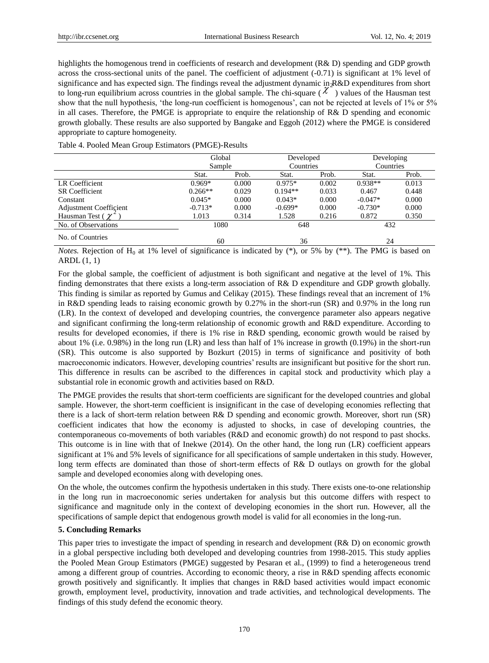highlights the homogenous trend in coefficients of research and development (R& D) spending and GDP growth across the cross-sectional units of the panel. The coefficient of adjustment (-0.71) is significant at 1% level of significance and has expected sign. The findings reveal the adjustment dynamic in R&D expenditures from short significance and has expected sign. The findings reveal the adjustment dynamic in  $\chi$  experienties from short to long-run equilibrium across countries in the global sample. The chi-square ( $\chi$ ) values of the Hausman tes show that the null hypothesis, "the long-run coefficient is homogenous", can not be rejected at levels of 1% or 5% in all cases. Therefore, the PMGE is appropriate to enquire the relationship of R& D spending and economic growth globally. These results are also supported by Bangake and Eggoh (2012) where the PMGE is considered appropriate to capture homogeneity.

## Table 4. Pooled Mean Group Estimators (PMGE)-Results

|                         | Global    |       | Developed |       | Developing |       |
|-------------------------|-----------|-------|-----------|-------|------------|-------|
|                         | Sample    |       | Countries |       | Countries  |       |
|                         | Stat.     | Prob. | Stat.     | Prob. | Stat.      | Prob. |
| LR Coefficient          | $0.969*$  | 0.000 | $0.975*$  | 0.002 | $0.938**$  | 0.013 |
| <b>SR</b> Coefficient   | $0.266**$ | 0.029 | $0.194**$ | 0.033 | 0.467      | 0.448 |
| Constant                | $0.045*$  | 0.000 | $0.043*$  | 0.000 | $-0.047*$  | 0.000 |
| Adjustment Coefficient  | $-0.713*$ | 0.000 | $-0.699*$ | 0.000 | $-0.730*$  | 0.000 |
| Hausman Test ( $\gamma$ | 1.013     | 0.314 | 1.528     | 0.216 | 0.872      | 0.350 |
| No. of Observations     | 1080      |       | 648       |       | 432        |       |
| No. of Countries        | 60        |       | 36        |       | 24         |       |

*Notes.* Rejection of  $H_0$  at 1% level of significance is indicated by  $(*$ , or 5% by  $(**)$ . The PMG is based on  $ARDL(1, 1)$ 

For the global sample, the coefficient of adjustment is both significant and negative at the level of 1%. This finding demonstrates that there exists a long-term association of R& D expenditure and GDP growth globally. This finding is similar as reported by Gumus and Celikay (2015). These findings reveal that an increment of 1% in R&D spending leads to raising economic growth by 0.27% in the short-run (SR) and 0.97% in the long run (LR). In the context of developed and developing countries, the convergence parameter also appears negative and significant confirming the long-term relationship of economic growth and R&D expenditure. According to results for developed economies, if there is 1% rise in R&D spending, economic growth would be raised by about 1% (i.e. 0.98%) in the long run (LR) and less than half of 1% increase in growth (0.19%) in the short-run (SR). This outcome is also supported by Bozkurt (2015) in terms of significance and positivity of both macroeconomic indicators. However, developing countries' results are insignificant but positive for the short run. This difference in results can be ascribed to the differences in capital stock and productivity which play a substantial role in economic growth and activities based on R&D.

The PMGE provides the results that short-term coefficients are significant for the developed countries and global sample. However, the short-term coefficient is insignificant in the case of developing economies reflecting that there is a lack of short-term relation between R& D spending and economic growth. Moreover, short run (SR) coefficient indicates that how the economy is adjusted to shocks, in case of developing countries, the contemporaneous co-movements of both variables (R&D and economic growth) do not respond to past shocks. This outcome is in line with that of Inekwe (2014). On the other hand, the long run (LR) coefficient appears significant at 1% and 5% levels of significance for all specifications of sample undertaken in this study. However, long term effects are dominated than those of short-term effects of R& D outlays on growth for the global sample and developed economies along with developing ones.

On the whole, the outcomes confirm the hypothesis undertaken in this study. There exists one-to-one relationship in the long run in macroeconomic series undertaken for analysis but this outcome differs with respect to significance and magnitude only in the context of developing economies in the short run. However, all the specifications of sample depict that endogenous growth model is valid for all economies in the long-run.

## **5. Concluding Remarks**

This paper tries to investigate the impact of spending in research and development (R& D) on economic growth in a global perspective including both developed and developing countries from 1998-2015. This study applies the Pooled Mean Group Estimators (PMGE) suggested by Pesaran et al., (1999) to find a heterogeneous trend among a different group of countries. According to economic theory, a rise in R&D spending affects economic growth positively and significantly. It implies that changes in R&D based activities would impact economic growth, employment level, productivity, innovation and trade activities, and technological developments. The findings of this study defend the economic theory.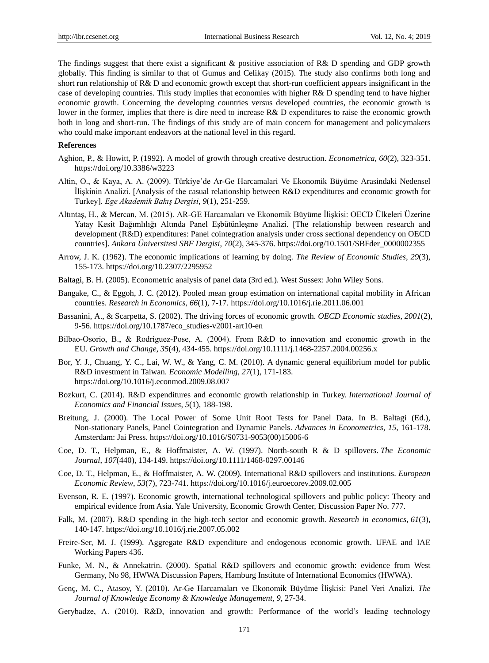The findings suggest that there exist a significant & positive association of R& D spending and GDP growth globally. This finding is similar to that of Gumus and Celikay (2015). The study also confirms both long and short run relationship of R& D and economic growth except that short-run coefficient appears insignificant in the case of developing countries. This study implies that economies with higher R& D spending tend to have higher economic growth. Concerning the developing countries versus developed countries, the economic growth is lower in the former, implies that there is dire need to increase R& D expenditures to raise the economic growth both in long and short-run. The findings of this study are of main concern for management and policymakers who could make important endeavors at the national level in this regard.

### **References**

- Aghion, P., & Howitt, P. (1992). A model of growth through creative destruction. *Econometrica*, *60*(2), 323-351. https://doi.org/10.3386/w3223
- Altin, O., & Kaya, A. A. (2009). Türkiye"de Ar-Ge Harcamalari Ve Ekonomik Büyüme Arasindaki Nedensel İlişkinin Analizi. [Analysis of the casual relationship between R&D expenditures and economic growth for Turkey]. *Ege Akademik Bakış Dergisi*, *9*(1), 251-259.
- Altıntaş, H., & Mercan, M. (2015). AR-GE Harcamaları ve Ekonomik Büyüme İlişkisi: OECD Ülkeleri Üzerine Yatay Kesit Bağımlılığı Altında Panel Eşbütünleşme Analizi. [The relationship between research and development (R&D) expenditures: Panel cointegration analysis under cross sectional dependency on OECD countries]. *Ankara Üniversitesi SBF Dergisi*, *70*(2), 345-376. https://doi.org/10.1501/SBFder\_0000002355
- Arrow, J. K. (1962). The economic implications of learning by doing. *The Review of Economic Studies, 29*(3), 155-173. https://doi.org/10.2307/2295952
- Baltagi, B. H. (2005). Econometric analysis of panel data (3rd ed.). West Sussex: John Wiley Sons.
- Bangake, C., & Eggoh, J. C. (2012). Pooled mean group estimation on international capital mobility in African countries. *Research in Economics, 66*(1), 7-17. https://doi.org/10.1016/j.rie.2011.06.001
- Bassanini, A., & Scarpetta, S. (2002). The driving forces of economic growth. *OECD Economic studies*, *2001*(2), 9-56. https://doi.org/10.1787/eco\_studies-v2001-art10-en
- Bilbao‐Osorio, B., & Rodríguez‐Pose, A. (2004). From R&D to innovation and economic growth in the EU. *Growth and Change*, *35*(4), 434-455. https://doi.org/10.1111/j.1468-2257.2004.00256.x
- Bor, Y. J., Chuang, Y. C., Lai, W. W., & Yang, C. M. (2010). A dynamic general equilibrium model for public R&D investment in Taiwan. *Economic Modelling*, *27*(1), 171-183. https://doi.org/10.1016/j.econmod.2009.08.007
- Bozkurt, C. (2014). R&D expenditures and economic growth relationship in Turkey. *International Journal of Economics and Financial Issues*, *5*(1), 188-198.
- Breitung, J. (2000). The Local Power of Some Unit Root Tests for Panel Data. In B. Baltagi (Ed.), Non-stationary Panels, Panel Cointegration and Dynamic Panels. *Advances in Econometrics, 15,* 161-178. Amsterdam: Jai Press. https://doi.org/10.1016/S0731-9053(00)15006-6
- Coe, D. T., Helpman, E., & Hoffmaister, A. W. (1997). North-south R & D spillovers. *The Economic Journal*, *107*(440), 134-149. https://doi.org/10.1111/1468-0297.00146
- Coe, D. T., Helpman, E., & Hoffmaister, A. W. (2009). International R&D spillovers and institutions. *European Economic Review*, *53*(7), 723-741. https://doi.org/10.1016/j.euroecorev.2009.02.005
- Evenson, R. E. (1997). Economic growth, international technological spillovers and public policy: Theory and empirical evidence from Asia. Yale University, Economic Growth Center, Discussion Paper No. 777.
- Falk, M. (2007). R&D spending in the high-tech sector and economic growth. *Research in economics*, *61*(3), 140-147. https://doi.org/10.1016/j.rie.2007.05.002
- Freire-Ser, M. J. (1999). Aggregate R&D expenditure and endogenous economic growth. UFAE and IAE Working Papers 436.
- Funke, M. N., & Annekatrin. (2000). Spatial R&D spillovers and economic growth: evidence from West Germany, No 98, HWWA Discussion Papers, Hamburg Institute of International Economics (HWWA).
- Genç, M. C., Atasoy, Y. (2010). Ar-Ge Harcamaları ve Ekonomik Büyüme İlişkisi: Panel Veri Analizi. *The Journal of Knowledge Economy & Knowledge Management, 9,* 27-34.
- Gerybadze, A. (2010). R&D, innovation and growth: Performance of the world"s leading technology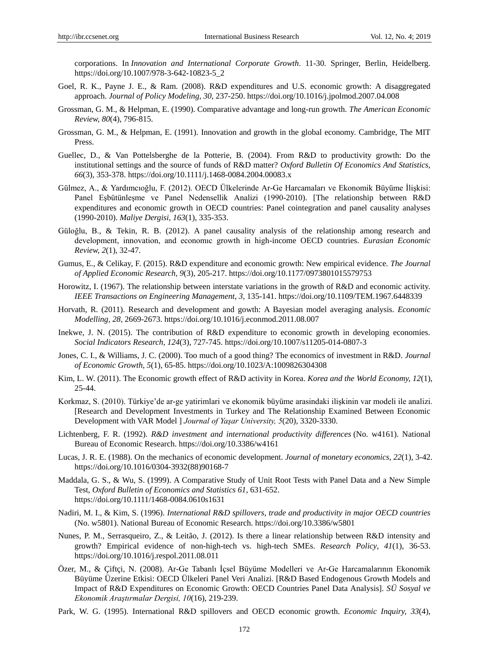corporations. In *Innovation and International Corporate Growth*. 11-30. Springer, Berlin, Heidelberg. https://doi.org/10.1007/978-3-642-10823-5\_2

- Goel, R. K., Payne J. E., & Ram. (2008). R&D expenditures and U.S. economic growth: A disaggregated approach. *Journal of Policy Modeling, 30*, 237-250. https://doi.org/10.1016/j.jpolmod.2007.04.008
- Grossman, G. M., & Helpman, E. (1990). Comparative advantage and long-run growth. *The American Economic Review, 80*(4), 796-815.
- Grossman, G. M., & Helpman, E. (1991). Innovation and growth in the global economy. Cambridge, The MIT **Press**.
- Guellec, D., & Van Pottelsberghe de la Potterie, B. (2004). From R&D to productivity growth: Do the institutional settings and the source of funds of R&D matter? *Oxford Bulletin Of Economics And Statistics, 66*(3), 353-378. https://doi.org/10.1111/j.1468-0084.2004.00083.x
- Gülmez, A., & Yardımcıoğlu, F. (2012). OECD Ülkelerinde Ar-Ge Harcamaları ve Ekonomik Büyüme İlişkisi: Panel Eşbütünleşme ve Panel Nedensellik Analizi (1990-2010). [The relationship between R&D expenditures and economic growth in OECD countries: Panel cointegration and panel causality analyses (1990-2010). *Maliye Dergisi, 163*(1), 335-353.
- Güloğlu, B., & Tekin, R. B. (2012). A panel causality analysis of the relationship among research and development, innovation, and economıc growth in high-income OECD countries. *Eurasian Economic Review, 2*(1), 32-47.
- Gumus, E., & Celikay, F. (2015). R&D expenditure and economic growth: New empirical evidence. *The Journal of Applied Economic Research, 9*(3), 205-217. https://doi.org/10.1177/0973801015579753
- Horowitz, I. (1967). The relationship between interstate variations in the growth of R&D and economic activity. *IEEE Transactions on Engineering Management*, *3,* 135-141. https://doi.org/10.1109/TEM.1967.6448339
- Horvath, R. (2011). Research and development and gowth: A Bayesian model averaging analysis. *Economic Modelling, 28,* 2669-2673. https://doi.org/10.1016/j.econmod.2011.08.007
- Inekwe, J. N. (2015). The contribution of R&D expenditure to economic growth in developing economies. *Social Indicators Research*, *124*(3), 727-745. https://doi.org/10.1007/s11205-014-0807-3
- Jones, C. I., & Williams, J. C. (2000). Too much of a good thing? The economics of investment in R&D. *Journal of Economic Growth*, *5*(1), 65-85. https://doi.org/10.1023/A:1009826304308
- Kim, L. W. (2011). The Economic growth effect of R&D activity in Korea. *Korea and the World Economy, 12*(1), 25-44.
- Korkmaz, S. (2010). Türkiye"de ar-ge yatirimlari ve ekonomik büyüme arasindaki ilişkinin var modeli ile analizi. [Research and Development Investments in Turkey and The Relationship Examined Between Economic Development with VAR Model ] *Journal of Yaşar University, 5*(20)*,* 3320-3330.
- Lichtenberg, F. R. (1992). *R&D investment and international productivity differences* (No. w4161). National Bureau of Economic Research. https://doi.org/10.3386/w4161
- Lucas, J. R. E. (1988). On the mechanics of economic development. *Journal of monetary economics*, *22*(1), 3-42. https://doi.org/10.1016/0304-3932(88)90168-7
- Maddala, G. S., & Wu, S. (1999). A Comparative Study of Unit Root Tests with Panel Data and a New Simple Test, *Oxford Bulletin of Economics and Statistics 61*, 631-652. https://doi.org/10.1111/1468-0084.0610s1631
- Nadiri, M. I., & Kim, S. (1996). *International R&D spillovers, trade and productivity in major OECD countries* (No. w5801). National Bureau of Economic Research. https://doi.org/10.3386/w5801
- Nunes, P. M., Serrasqueiro, Z., & Leitão, J. (2012). Is there a linear relationship between R&D intensity and growth? Empirical evidence of non-high-tech vs. high-tech SMEs. *Research Policy*, *41*(1), 36-53. https://doi.org/10.1016/j.respol.2011.08.011
- Özer, M., & Çiftçi, N. (2008). Ar-Ge Tabanlı İçsel Büyüme Modelleri ve Ar-Ge Harcamalarının Ekonomik Büyüme Üzerine Etkisi: OECD Ülkeleri Panel Veri Analizi. [R&D Based Endogenous Growth Models and Impact of R&D Expenditures on Economic Growth: OECD Countries Panel Data Analysis]. *SÜ Sosyal ve Ekonomik Araştırmalar Dergisi, 10*(16), 219-239.
- Park, W. G. (1995). International R&D spillovers and OECD economic growth. *Economic Inquiry, 33*(4),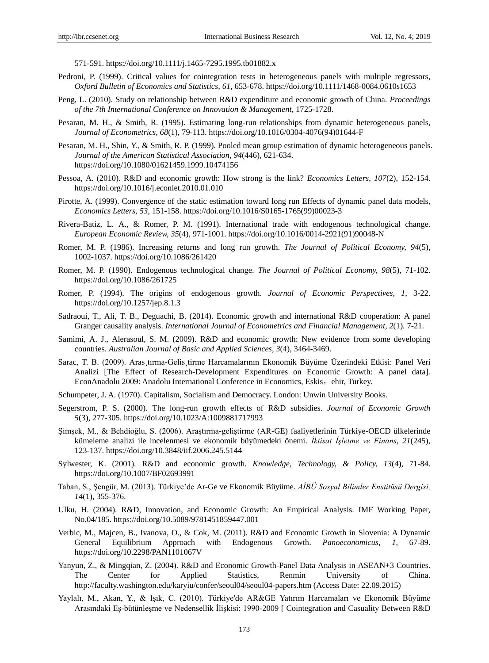571-591. https://doi.org/10.1111/j.1465-7295.1995.tb01882.x

- Pedroni, P. (1999). Critical values for cointegration tests in heterogeneous panels with multiple regressors, *Oxford Bulletin of Economics and Statistics, 61,* 653-678. https://doi.org/10.1111/1468-0084.0610s1653
- Peng, L. (2010). Study on relationship between R&D expenditure and economic growth of China. *Proceedings of the 7th International Conference on Innovation & Management,* 1725-1728.
- Pesaran, M. H., & Smith, R. (1995). Estimating long-run relationships from dynamic heterogeneous panels, *Journal of Econometrics, 68*(1), 79-113. https://doi.org/10.1016/0304-4076(94)01644-F
- Pesaran, M. H., Shin, Y., & Smith, R. P. (1999). Pooled mean group estimation of dynamic heterogeneous panels. *Journal of the American Statistical Association*, *94*(446), 621-634. https://doi.org/10.1080/01621459.1999.10474156
- Pessoa, A. (2010). R&D and economic growth: How strong is the link? *Economics Letters*, *107*(2), 152-154. https://doi.org/10.1016/j.econlet.2010.01.010
- Pirotte, A. (1999). Convergence of the static estimation toward long run Effects of dynamic panel data models, *Economics Letters, 53,* 151-158. https://doi.org/10.1016/S0165-1765(99)00023-3
- Rivera-Batiz, L. A., & Romer, P. M. (1991). International trade with endogenous technological change. *European Economic Review, 35*(4), 971-1001. https://doi.org/10.1016/0014-2921(91)90048-N
- Romer, M. P. (1986). Increasing returns and long run growth. *The Journal of Political Economy, 94*(5), 1002-1037. https://doi.org/10.1086/261420
- Romer, M. P. (1990). Endogenous technological change. *The Journal of Political Economy, 98*(5), 71-102. https://doi.org/10.1086/261725
- Romer, P. (1994). The origins of endogenous growth. *Journal of Economic Perspectives, 1*, 3-22. https://doi.org/10.1257/jep.8.1.3
- Sadraoui, T., Ali, T. B., Deguachi, B. (2014). Economic growth and international R&D cooperation: A panel Granger causality analysis. *International Journal of Econometrics and Financial Management, 2*(1)*.* 7-21.
- Samimi, A. J., Alerasoul, S. M. (2009). R&D and economic growth: New evidence from some developing countries. *Australian Journal of Basic and Applied Sciences, 3*(4), 3464-3469.
- Sarac, T. B. (2009). Aras¸tırma-Gelis¸tirme Harcamalarının Ekonomik Büyüme Üzerindeki Etkisi: Panel Veri Analizi [The Effect of Research-Development Expenditures on Economic Growth: A panel data]. EconAnadolu 2009: Anadolu International Conference in Economics, Eskis, ehir, Turkey.
- Schumpeter, J. A. (1970). Capitalism, Socialism and Democracy. London: Unwin University Books.
- Segerstrom, P. S. (2000). The long-run growth effects of R&D subsidies. *Journal of Economic Growth 5*(3), 277-305. https://doi.org/10.1023/A:1009881717993
- Şimşek, M., & Behdioğlu, S. (2006). Araştırma-geliştirme (AR-GE) faaliyetlerinin Türkiye-OECD ülkelerinde kümeleme analizi ile incelenmesi ve ekonomik büyümedeki önemi. *İktisat İşletme ve Finans, 21*(245), 123-137. https://doi.org/10.3848/iif.2006.245.5144
- Sylwester, K. (2001). R&D and economic growth. *Knowledge, Technology, & Policy, 13*(4), 71-84. https://doi.org/10.1007/BF02693991
- Taban, S., Şengür, M. (2013). Türkiye"de Ar-Ge ve Ekonomik Büyüme. *AİBÜ Sosyal Bilimler Enstitüsü Dergisi, 14*(1), 355-376.
- Ulku, H. (2004). R&D, Innovation, and Economic Growth: An Empirical Analysis. IMF Working Paper, No.04/185. https://doi.org/10.5089/9781451859447.001
- Verbic, M., Majcen, B., Ivanova, O., & Cok, M. (2011). R&D and Economic Growth in Slovenia: A Dynamic General Equilibrium Approach with Endogenous Growth. *Panoeconomicus*, *1,* 67-89. https://doi.org/10.2298/PAN1101067V
- Yanyun, Z., & Mingqian, Z. (2004). R&D and Economic Growth-Panel Data Analysis in ASEAN+3 Countries. The Center for Applied Statistics, Renmin University of China. http://faculty.washington.edu/karyiu/confer/seoul04/seoul04-papers.htm (Access Date: 22.09.2015)
- Yaylalı, M., Akan, Y., & Işık, C. (2010). Türkiye'de AR&GE Yatırım Harcamaları ve Ekonomik Büyüme Arasındaki Eş-bütünleşme ve Nedensellik İlişkisi: 1990-2009 [ Cointegration and Casuality Between R&D